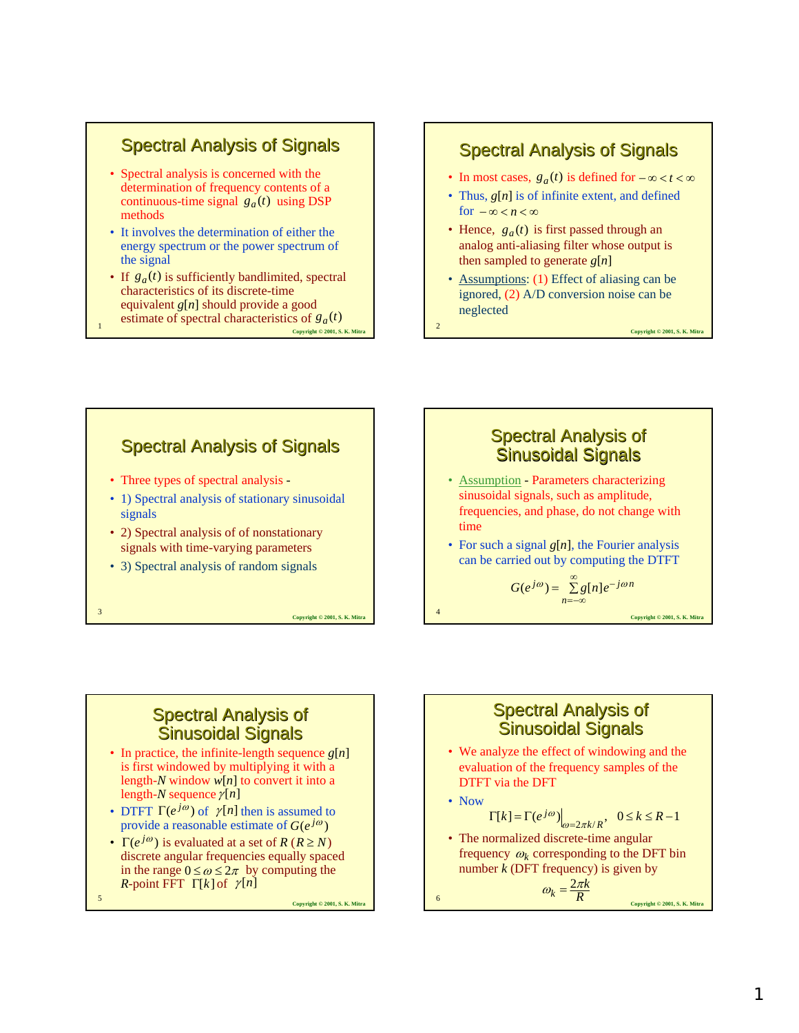### **Spectral Analysis of Signals**

- Spectral analysis is concerned with the determination of frequency contents of a continuous-time signal  $g_a(t)$  using DSP methods
- It involves the determination of either the energy spectrum or the power spectrum of the signal
- **Copyright © 2001, S. K. Mitra** • If  $g_a(t)$  is sufficiently bandlimited, spectral characteristics of its discrete-time equivalent *g*[*n*] should provide a good estimate of spectral characteristics of  $g_a(t)$

#### **Spectral Analysis of Signals**

- In most cases,  $g_a(t)$  is defined for  $-\infty < t < \infty$
- Thus,  $g[n]$  is of infinite extent, and defined for  $-\infty < n < \infty$
- Hence,  $g_a(t)$  is first passed through an analog anti-aliasing filter whose output is then sampled to generate *g*[*n*]
- Assumptions: (1) Effect of aliasing can be ignored, (2) A/D conversion noise can be neglected

Copyright © 2001, S. K. Mit

**Copyright © 2001, S. K. Mitra** 

# **Spectral Analysis of Signals**

- Three types of spectral analysis -
- 1) Spectral analysis of stationary sinusoidal signals
- 2) Spectral analysis of of nonstationary signals with time-varying parameters
- 3) Spectral analysis of random signals

**Copyright © 2001, S. K. Mitra** 

#### **Spectral Analysis of Sinusoidal Signals**

- Assumption Parameters characterizing sinusoidal signals, such as amplitude, frequencies, and phase, do not change with time
- For such a signal *g*[*n*], the Fourier analysis can be carried out by computing the DTFT

$$
G(e^{j\omega}) = \sum_{n=-\infty}^{\infty} g[n]e^{-j\omega n}
$$

## **Spectral Analysis of** Sinusoidal Signals

- In practice, the infinite-length sequence *g*[*n*] is first windowed by multiplying it with a length-*N* window *w*[*n*] to convert it into a length-*N* sequence <sup>γ</sup> [*n*]
- DTFT  $\Gamma(e^{j\omega})$  of  $\gamma[n]$  then is assumed to provide a reasonable estimate of  $G(e^{j\omega})$
- $\Gamma(e^{j\omega})$  is evaluated at a set of *R* (*R*  $\geq N$ ) discrete angular frequencies equally spaced in the range  $0 \le \omega \le 2\pi$  by computing the *R*-point FFT  $\Gamma[k]$  of  $\gamma[n]$

Copyright © 2001, S. K. Mitr.

#### **Spectral Analysis of Sinusoidal Signals**

• We analyze the effect of windowing and the evaluation of the frequency samples of the DTFT via the DFT

• Now

$$
\Gamma[k] = \Gamma(e^{j\omega})\Big|_{\omega=2\pi k/R}, \quad 0 \le k \le R-1
$$

• The normalized discrete-time angular frequency  $\omega_k$  corresponding to the DFT bin number *k* (DFT frequency) is given by

$$
\omega_k = \frac{2\pi k}{R}
$$
\nConvenient 9 2001, S. K. Mitra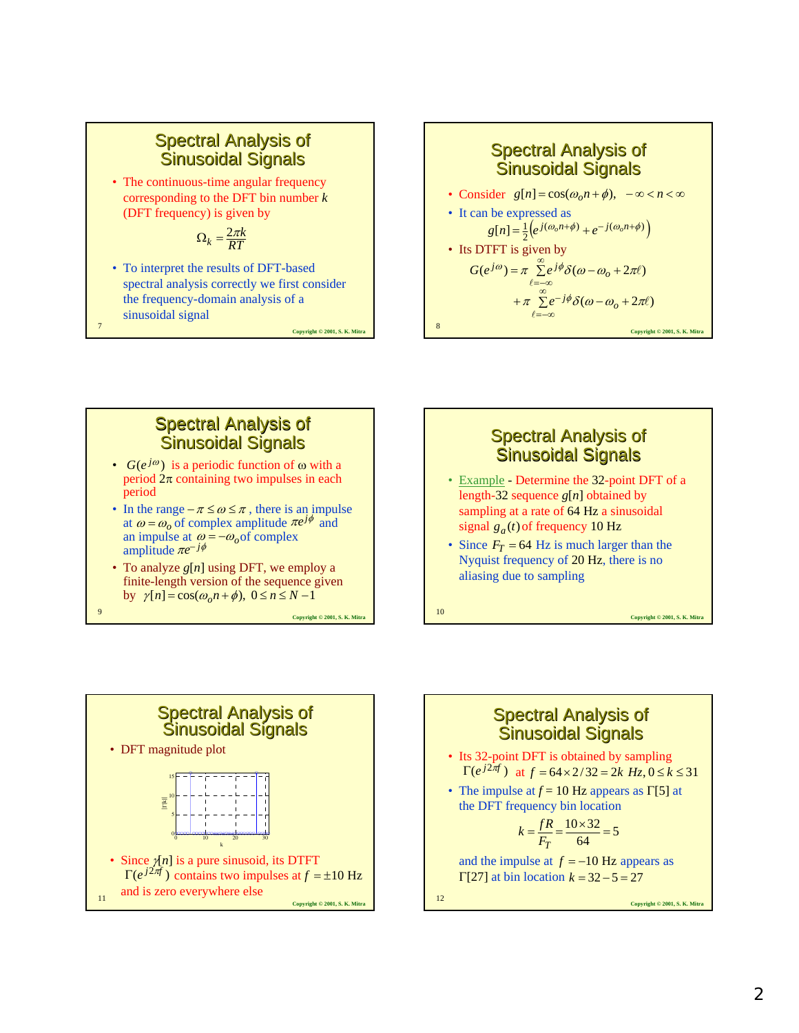• The continuous-time angular frequency corresponding to the DFT bin number *k* (DFT frequency) is given by

$$
\Omega_k = \frac{2\pi k}{RT}
$$

• To interpret the results of DFT-based spectral analysis correctly we first consider the frequency-domain analysis of a sinusoidal signal

Copyright © 2001, S. K. Mitr



### **Spectral Analysis of** Sinusoidal Signals

- $G(e^{j\omega})$  is a periodic function of  $\omega$  with a period  $2\pi$  containing two impulses in each period
- In the range  $-\pi \leq \omega \leq \pi$ , there is an impulse at  $\omega = \omega_o$  of complex amplitude  $\pi e^{j\phi}$  and an impulse at  $\omega = -\omega_o$  of complex amplitude  $\pi e^{-j\phi}$
- To analyze *g*[*n*] using DFT, we employ a finite-length version of the sequence given by  $\gamma[n] = \cos(\omega_0 n + \phi), \ 0 \le n \le N - 1$

**Copyright © 2001, S. K. Mitra** <sup>9</sup>



- Example Determine the 32-point DFT of a length-32 sequence *g*[*n*] obtained by sampling at a rate of 64 Hz a sinusoidal  $\frac{g_a(t)}{g_f(t)}$  of frequency 10 Hz
- Since  $F_T = 64$  Hz is much larger than the Nyquist frequency of 20 Hz, there is no aliasing due to sampling



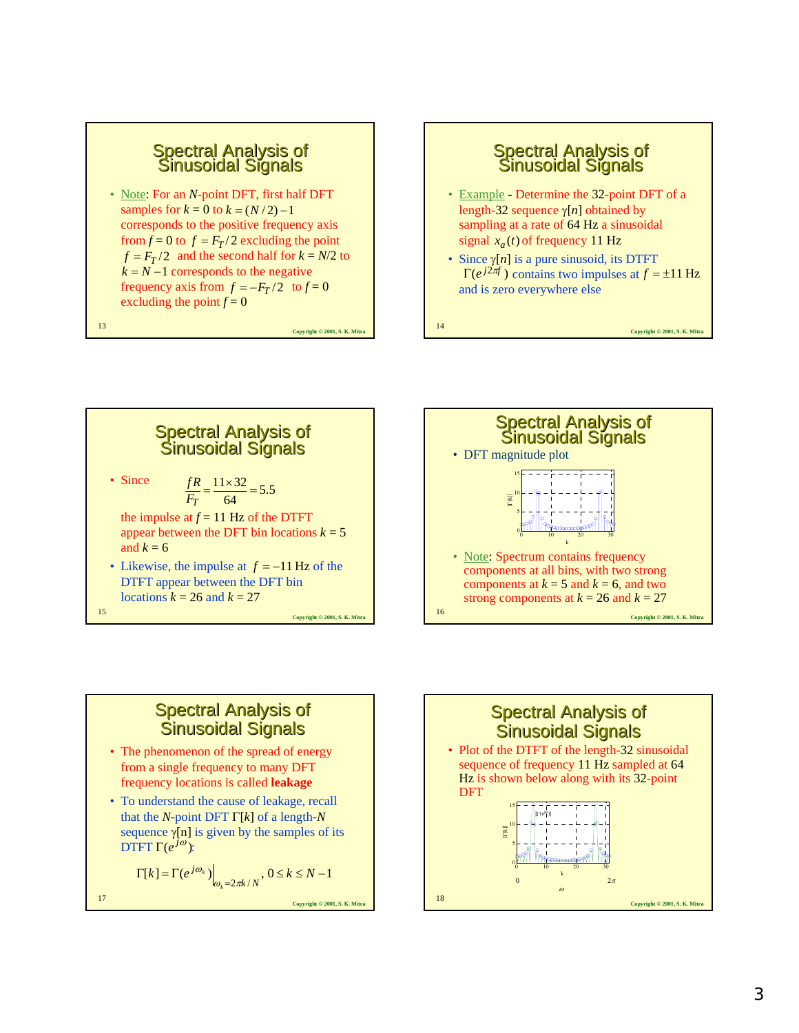• Note: For an *N*-point DFT, first half DFT samples for  $k = 0$  to  $k = (N/2) - 1$ corresponds to the positive frequency axis from  $f = 0$  to  $f = F_T/2$  excluding the point  $f = F_T/2$  and the second half for  $k = N/2$  to  $k = N - 1$  corresponds to the negative frequency axis from  $f = -F_T/2$  to  $f = 0$ excluding the point  $f = 0$ 

**Copyright © 2001, S. K. Mitra** <sup>13</sup>

### Spectral Analysis of Sinusoidal Signals • Example - Determine the 32-point DFT of a length-32 sequence γ[*n*] obtained by sampling at a rate of 64 Hz a sinusoidal  $x_a(t)$  of frequency 11 Hz

• Since  $\gamma[n]$  is a pure sinusoid, its DTFT  $\Gamma(e^{j2\pi f})$  contains two impulses at  $f = \pm 11$  Hz and is zero everywhere else

**Copyright © 2001, S. K. Mitra** <sup>14</sup>





### **Spectral Analysis of Sinusoidal Signals**

- The phenomenon of the spread of energy from a single frequency to many DFT frequency locations is called **leakage**
- To understand the cause of leakage, recall that the *N*-point DFT Γ[*k*] of a length-*N* sequence  $\gamma[n]$  is given by the samples of its  $\overline{\text{DTFT}}$  Γ( $e^{j\omega}$ ):

$$
\Gamma[k] = \Gamma(e^{j\omega_k})\Big|_{\omega_k = 2\pi k/N}, 0 \le k \le N - 1
$$

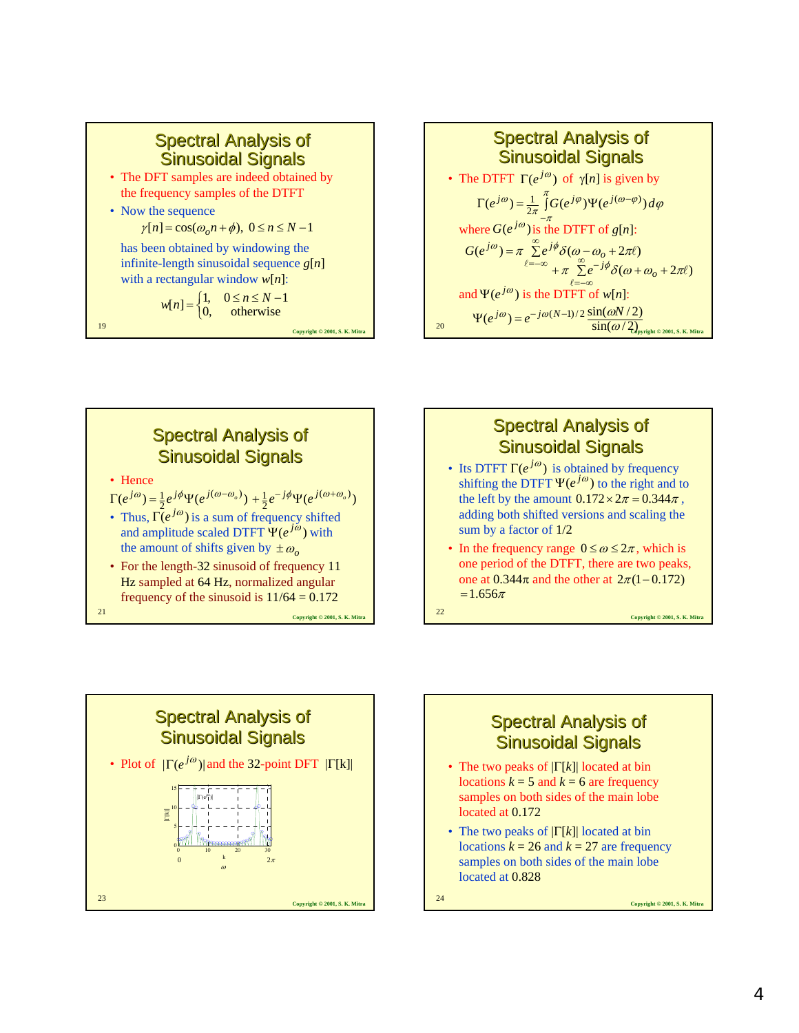

- The DFT samples are indeed obtained by the frequency samples of the DTFT
- Now the sequence

 $\gamma[n] = \cos(\omega_0 n + \phi), \ 0 \le n \le N - 1$ 

has been obtained by windowing the infinite-length sinusoidal sequence *g*[*n*] with a rectangular window *w*[*n*]:

$$
w[n] = \begin{cases} 1, & 0 \le n \le N-1 \\ 0, & \text{otherwise} \end{cases}
$$
  
<sup>19</sup>

20 **Copyright © 2001, S. K. Mitra Spectral Analysis of** Sinusoidal Signals • The DTFT  $\Gamma(e^{j\omega})$  of  $\gamma[n]$  is given by where  $G(e^{j\omega})$  is the DTFT of *g*[*n*]: and  $\Psi(e^{j\omega})$  is the DTFT of *w*[*n*]:  $\int\limits_0^\pi G(e^{j\varphi})\Psi(e^{j(\omega-\varphi)})d\varphi$  $\Gamma(e^{j\omega}) = \frac{1}{2\pi} \int_{-\infty}^{\infty} G(e^{j\varphi}) \Psi(e^{j(\omega-\varphi)}) d\varphi$ 1  $\Psi(e^{j\omega}) = e^{-j\omega(N-1)/2} \frac{\sin(\omega N/2)}{\sin(\omega N/2)}$  $(e^{j\omega}) = \pi \sum e^{j\varphi} \delta(\omega - \omega_o + 2\pi\ell)$  $\ell$  $G(e^{j\omega}) = \pi \sum_{\ell=-\infty}^{\infty} e^{j\phi} \delta(\omega - \omega_o + 2\pi\ell)$ <br> $+ \pi \sum_{\ell=-\infty}^{\infty} e^{-j\phi} \delta(\omega + \omega_o + 2\pi\ell)$ 



## **Spectral Analysis of** Sinusoidal Signals

- Its DTFT  $\Gamma(e^{j\omega})$  is obtained by frequency shifting the DTFT  $\Psi(e^{j\omega})$  to the right and to the left by the amount  $0.172 \times 2\pi = 0.344\pi$ , adding both shifted versions and scaling the sum by a factor of 1/2
- In the frequency range  $0 \le \omega \le 2\pi$ , which is one period of the DTFT, there are two peaks, one at  $0.344\pi$  and the other at  $2\pi(1-0.172)$  $=1.656\pi$



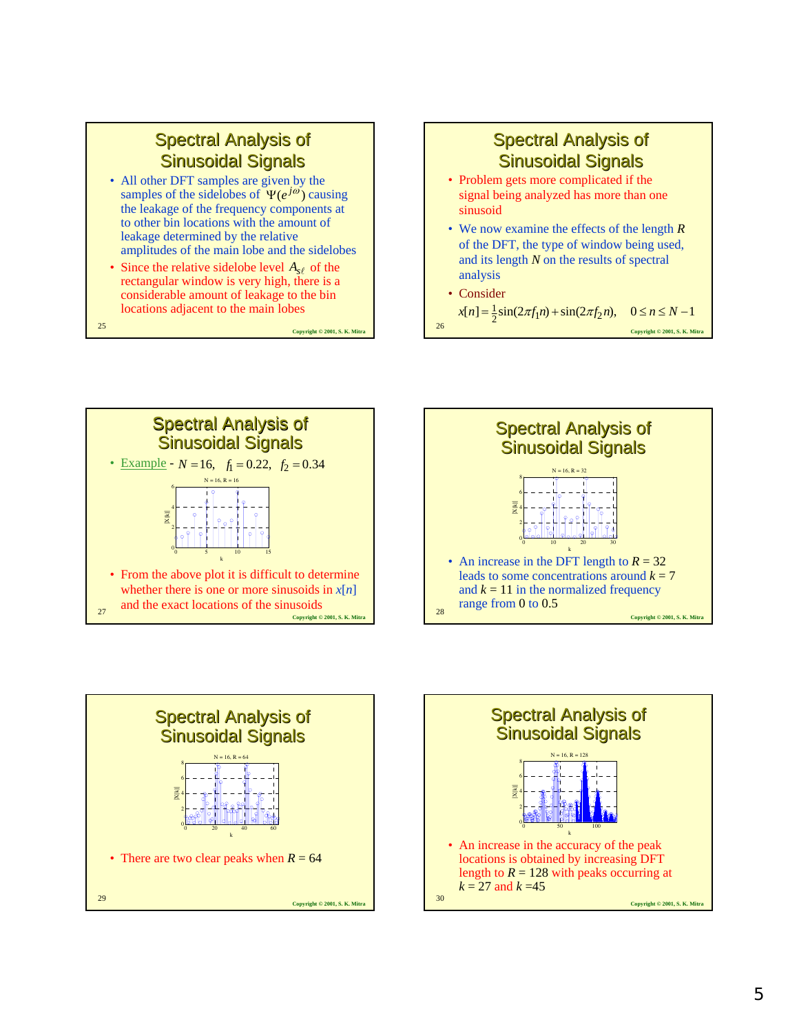- All other DFT samples are given by the samples of the sidelobes of  $\Psi(e^{j\omega})$  causing the leakage of the frequency components at to other bin locations with the amount of leakage determined by the relative amplitudes of the main lobe and the sidelobes
- Since the relative sidelobe level  $A_{s\ell}$  of the rectangular window is very high, there is a considerable amount of leakage to the bin locations adjacent to the main lobes

**Copyright © 2001, S. K. Mitra** <sup>25</sup>



**Spectral Analysis of** 







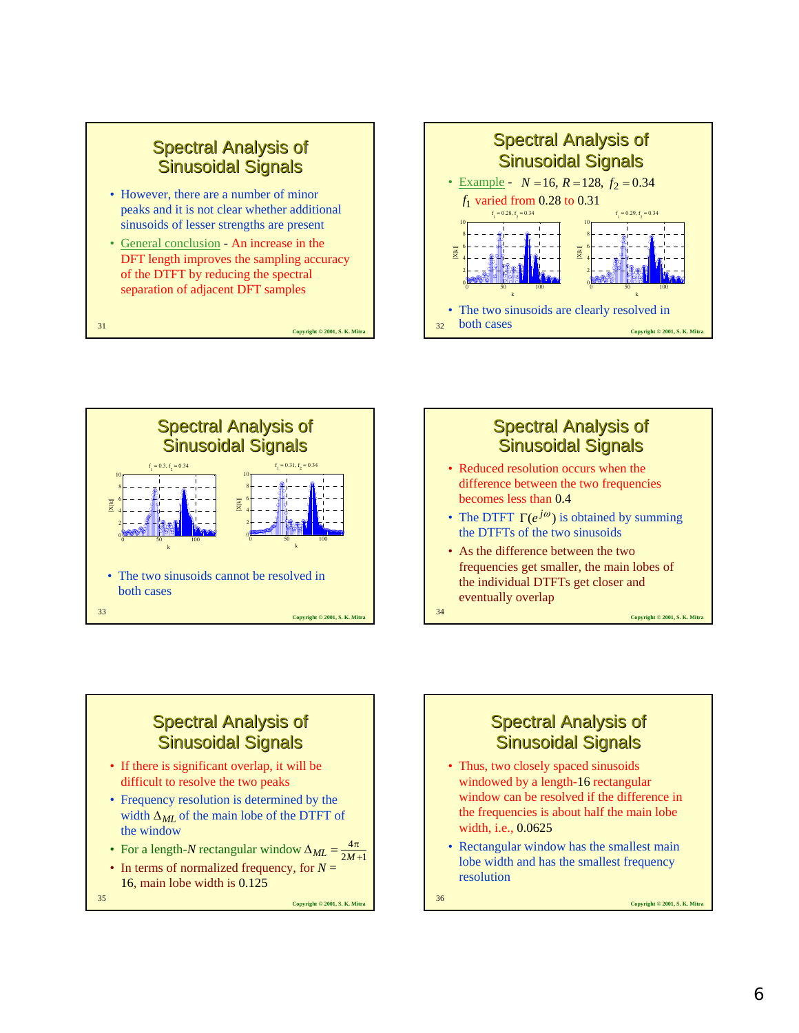- However, there are a number of minor peaks and it is not clear whether additional sinusoids of lesser strengths are present
- General conclusion An increase in the DFT length improves the sampling accuracy of the DTFT by reducing the spectral separation of adjacent DFT samples

**Copyright © 2001, S. K. Mitra** <sup>31</sup>







# **Spectral Analysis of** Sinusoidal Signals

- If there is significant overlap, it will be difficult to resolve the two peaks
- Frequency resolution is determined by the width  $\Delta_{ML}$  of the main lobe of the DTFT of the window
- For a length-*N* rectangular window  $\Delta_{ML} = \frac{4\pi}{2M+1}$ 4  $\Delta_{ML} = \frac{4\pi}{2M + }$
- In terms of normalized frequency, for *N* = 16, main lobe width is 0.125

**Copyright © 2001, S. K. Mitra** <sup>35</sup>



- windowed by a length-16 rectangular window can be resolved if the difference in the frequencies is about half the main lobe width, i.e., 0.0625
- Rectangular window has the smallest main lobe width and has the smallest frequency resolution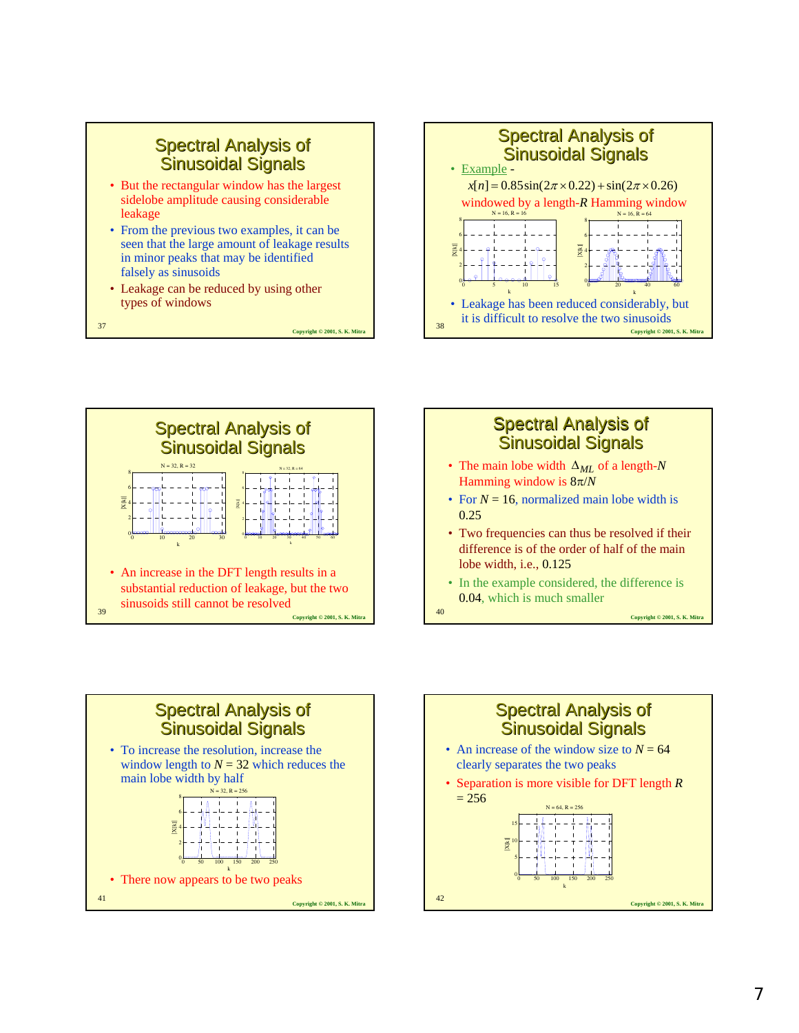

- seen that the large amount of leakage results in minor peaks that may be identified falsely as sinusoids
- Leakage can be reduced by using other types of windows

**Copyright © 2001, S. K. Mitra** <sup>37</sup>







**Copyright © 2001, S. K. Mitra** <sup>40</sup> • In the example considered, the difference is 0.04, which is much smaller



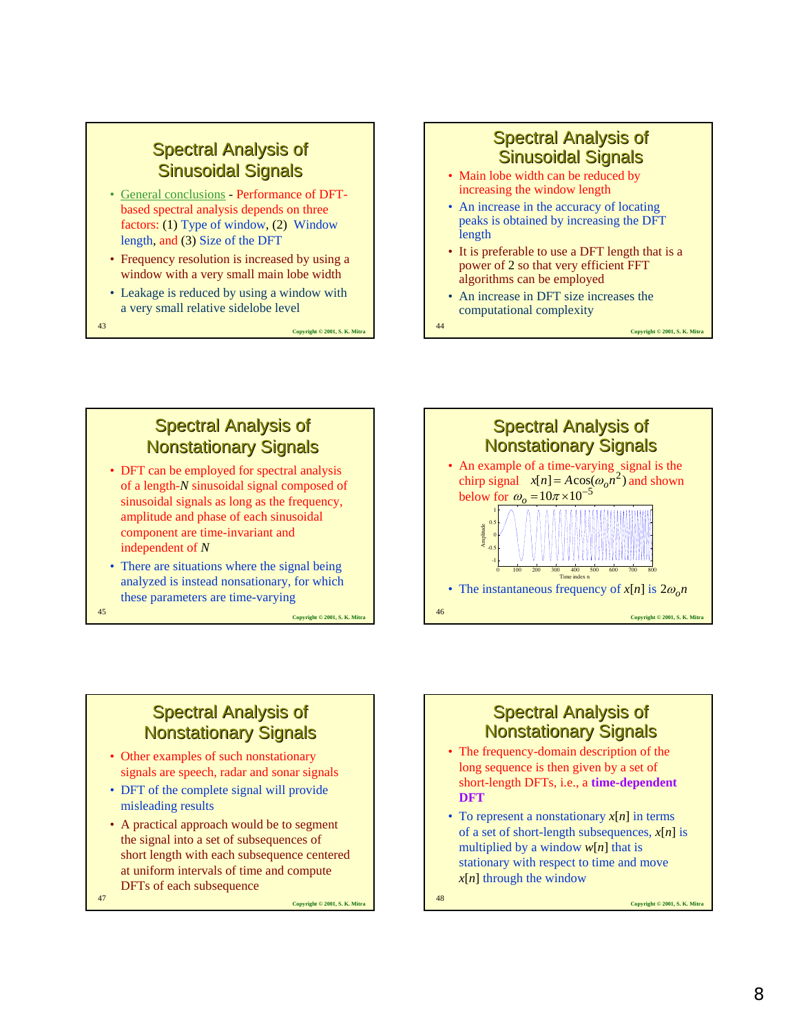- General conclusions Performance of DFTbased spectral analysis depends on three factors: (1) Type of window, (2) Window length, and (3) Size of the DFT
- Frequency resolution is increased by using a window with a very small main lobe width
- Leakage is reduced by using a window with a very small relative sidelobe level

**Copyright © 2001, S. K. Mitra** <sup>43</sup>

### Spectral Analysis of Sinusoidal Signals

- Main lobe width can be reduced by increasing the window length
- An increase in the accuracy of locating peaks is obtained by increasing the DFT length
- It is preferable to use a DFT length that is a power of 2 so that very efficient FFT algorithms can be employed
- An increase in DFT size increases the computational complexity

**Copyright © 2001, S. K. Mitra** <sup>44</sup>

### **Spectral Analysis of Nonstationary Signals**

- DFT can be employed for spectral analysis of a length-*N* sinusoidal signal composed of sinusoidal signals as long as the frequency, amplitude and phase of each sinusoidal component are time-invariant and independent of *N*
- There are situations where the signal being analyzed is instead nonsationary, for which these parameters are time-varying

**Copyright © 2001, S. K. Mitra** <sup>45</sup>

# **Spectral Analysis of Nonstationary Signals**

- Other examples of such nonstationary signals are speech, radar and sonar signals
- DFT of the complete signal will provide misleading results
- A practical approach would be to segment the signal into a set of subsequences of short length with each subsequence centered at uniform intervals of time and compute DFTs of each subsequence
- **Copyright © 2001, S. K. Mitra** <sup>47</sup>



### **Spectral Analysis of Nonstationary Signals**

- The frequency-domain description of the long sequence is then given by a set of short-length DFTs, i.e., a **time-dependent DFT**
- To represent a nonstationary *x*[*n*] in terms of a set of short-length subsequences, *x*[*n*] is multiplied by a window  $w[n]$  that is stationary with respect to time and move *x*[*n*] through the window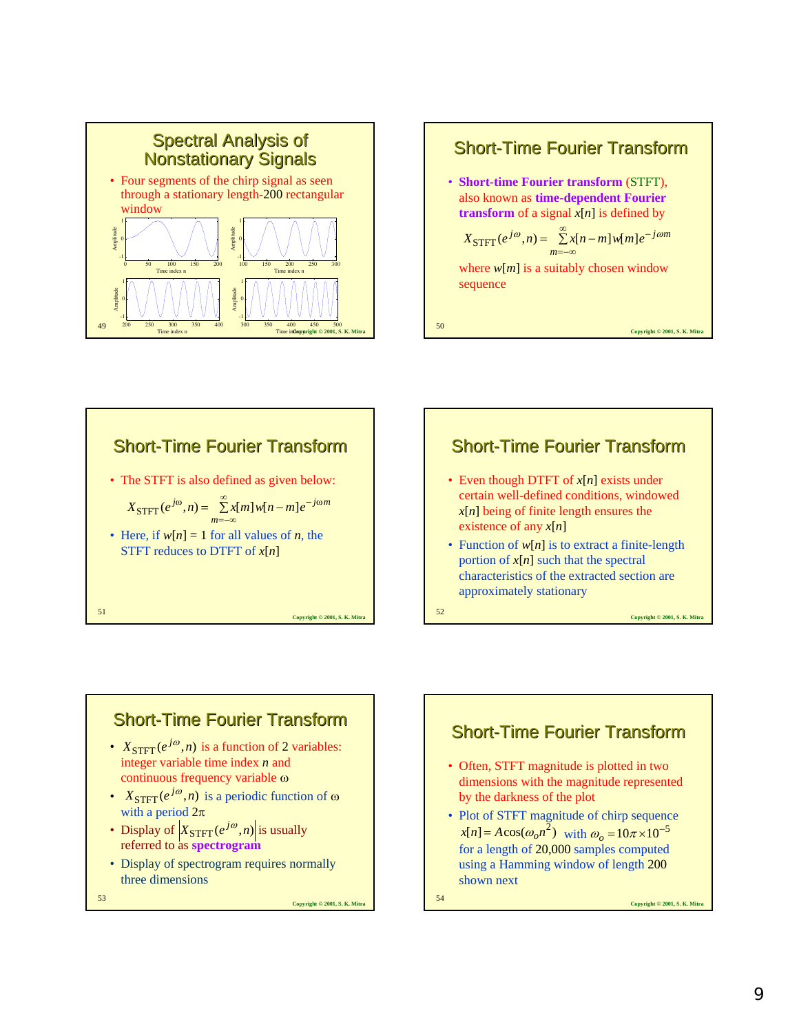







- Even though DTFT of *x*[*n*] exists under certain well-defined conditions, windowed *x*[*n*] being of finite length ensures the existence of any *x*[*n*]
- Function of  $w[n]$  is to extract a finite-length portion of *x*[*n*] such that the spectral characteristics of the extracted section are approximately stationary

**Copyright © 2001, S. K. Mitra** <sup>52</sup>



**Copyright © 2001, S. K. Mitra** <sup>53</sup>

Short-Time Fourier Transform • Often, STFT magnitude is plotted in two dimensions with the magnitude represented by the darkness of the plot • Plot of STFT magnitude of chirp sequence  $x[n] = A\cos(\omega_0 n^2)$  with  $\omega_0 = 10\pi \times 10^{-5}$ for a length of 20,000 samples computed using a Hamming window of length 200



shown next

**Copyright © 2001, S. K. Mitra** <sup>54</sup>

9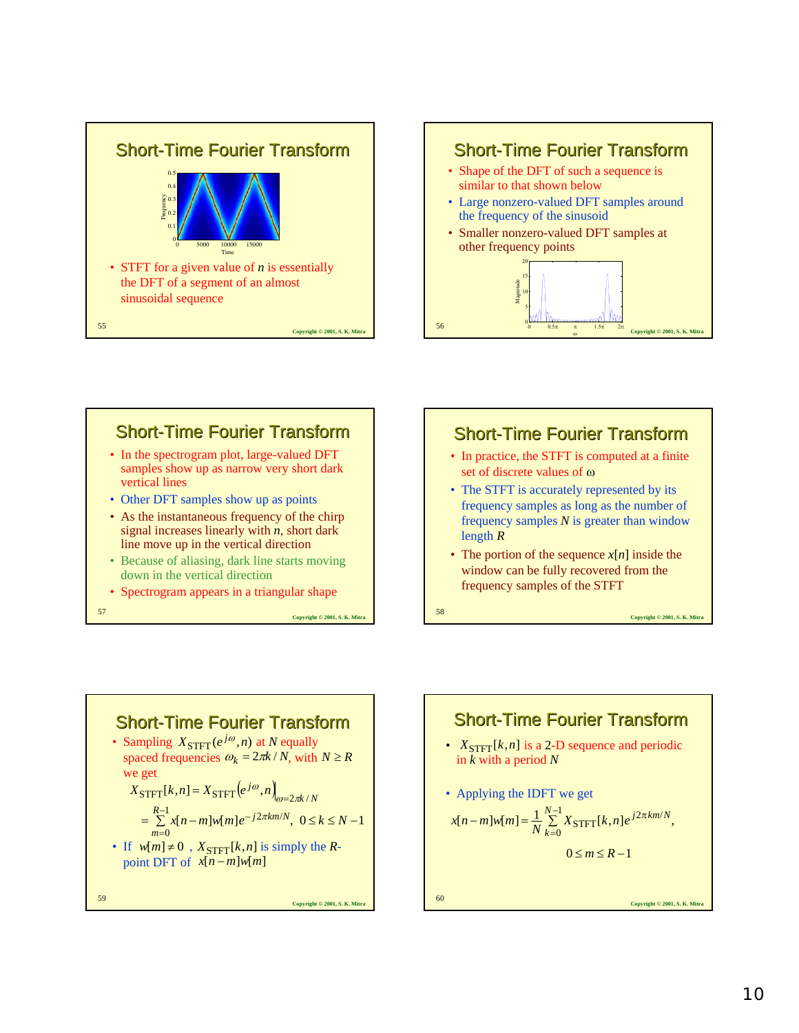







• If  $w[m] \neq 0$ ,  $X_{\text{STFT}}[k, n]$  is simply the *R*point DFT of  $x[n-m]w[m]$ 

**Copyright © 2001, S. K. Mitra** <sup>59</sup>

**Copyright © 2001, S. K. Mitra** <sup>60</sup> Short-Time Fourier Transform •  $X_{\text{STFT}}[k, n]$  is a 2-D sequence and periodic in *k* with a period *N* • Applying the IDFT we get  $-m]w[m] = \frac{1}{N} \sum_{r=1}^{N-1}$ =  $\frac{1}{\mathbf{v}}$   $\frac{1}{\mathbf{u}}$   $\frac{1}{2\pi}$  $\overline{0}$  $[n-m]w[m] = \frac{1}{N} \sum_{N}^{N-1} X_{\text{STFT}}[k,n] e^{j2\pi k m/N},$  $x[n-m]w[m] = \frac{1}{N} \sum_{k=0}^{N-1} X_{\text{STFT}}[k,n] e^{j2\pi k m/N}$  $0 \leq m \leq R-1$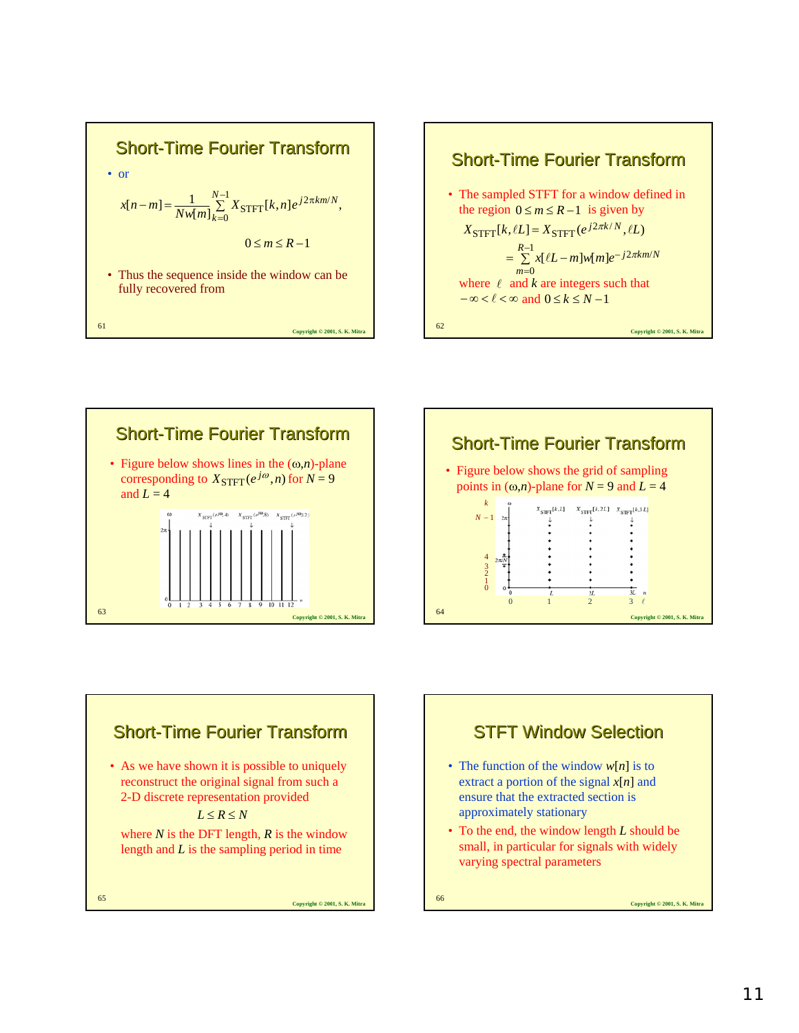